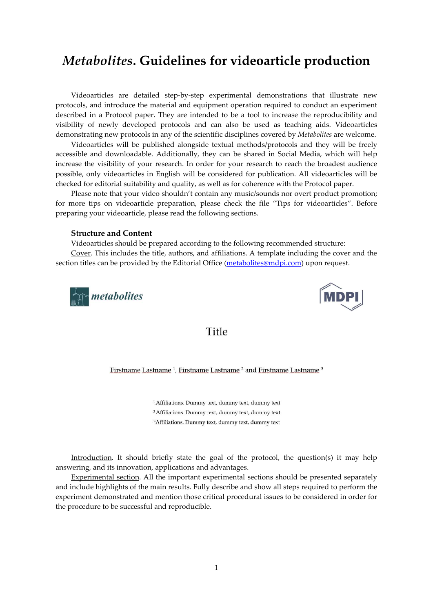# Metabolites. Guidelines for videoarticle production

Videoarticles are detailed step-by-step experimental demonstrations that illustrate new protocols, and introduce the material and equipment operation required to conduct an experiment described in a Protocol paper. They are intended to be a tool to increase the reproducibility and visibility of newly developed protocols and can also be used as teaching aids. Videoarticles demonstrating new protocols in any of the scientific disciplines covered by Metabolites are welcome.

Videoarticles will be published alongside textual methods/protocols and they will be freely accessible and downloadable. Additionally, they can be shared in Social Media, which will help increase the visibility of your research. In order for your research to reach the broadest audience possible, only videoarticles in English will be considered for publication. All videoarticles will be checked for editorial suitability and quality, as well as for coherence with the Protocol paper.

Please note that your video shouldn't contain any music/sounds nor overt product promotion; for more tips on videoarticle preparation, please check the file "Tips for videoarticles". Before preparing your videoarticle, please read the following sections.

#### Structure and Content

Videoarticles should be prepared according to the following recommended structure:

Cover. This includes the title, authors, and affiliations. A template including the cover and the section titles can be provided by the Editorial Office (metabolites@mdpi.com) upon request.





### Title

Firstname Lastname<sup>1</sup>, Firstname Lastname<sup>2</sup> and Firstname Lastname<sup>3</sup>

<sup>1</sup> Affiliations. Dummy text, dummy text, dummy text <sup>2</sup> Affiliations. Dummy text, dummy text, dummy text <sup>3</sup>Affiliations. Dummy text, dummy text, dummy text

Introduction. It should briefly state the goal of the protocol, the question(s) it may help answering, and its innovation, applications and advantages.

Experimental section. All the important experimental sections should be presented separately and include highlights of the main results. Fully describe and show all steps required to perform the experiment demonstrated and mention those critical procedural issues to be considered in order for the procedure to be successful and reproducible.